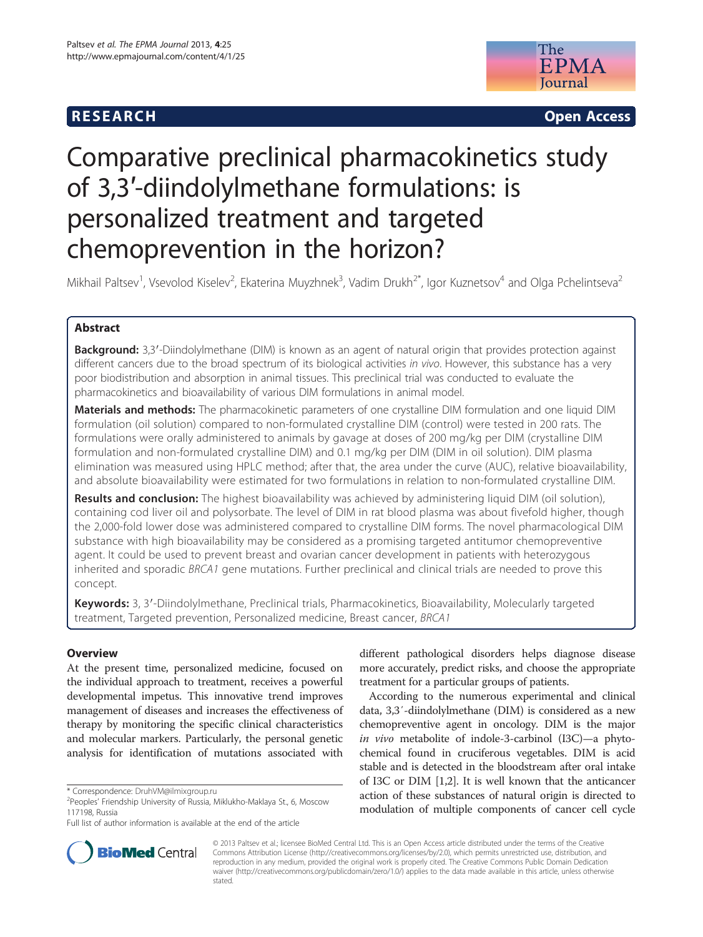## **RESEARCH RESEARCH CONSUMING ACCESS**



# Comparative preclinical pharmacokinetics study of 3,3′-diindolylmethane formulations: is personalized treatment and targeted chemoprevention in the horizon?

Mikhail Paltsev<sup>1</sup>, Vsevolod Kiselev<sup>2</sup>, Ekaterina Muyzhnek<sup>3</sup>, Vadim Drukh<sup>2\*</sup>, Igor Kuznetsov<sup>4</sup> and Olga Pchelintseva<sup>2</sup>

## Abstract

Background: 3,3'-Diindolylmethane (DIM) is known as an agent of natural origin that provides protection against different cancers due to the broad spectrum of its biological activities in vivo. However, this substance has a very poor biodistribution and absorption in animal tissues. This preclinical trial was conducted to evaluate the pharmacokinetics and bioavailability of various DIM formulations in animal model.

Materials and methods: The pharmacokinetic parameters of one crystalline DIM formulation and one liquid DIM formulation (oil solution) compared to non-formulated crystalline DIM (control) were tested in 200 rats. The formulations were orally administered to animals by gavage at doses of 200 mg/kg per DIM (crystalline DIM formulation and non-formulated crystalline DIM) and 0.1 mg/kg per DIM (DIM in oil solution). DIM plasma elimination was measured using HPLC method; after that, the area under the curve (AUC), relative bioavailability, and absolute bioavailability were estimated for two formulations in relation to non-formulated crystalline DIM.

Results and conclusion: The highest bioavailability was achieved by administering liquid DIM (oil solution), containing cod liver oil and polysorbate. The level of DIM in rat blood plasma was about fivefold higher, though the 2,000-fold lower dose was administered compared to crystalline DIM forms. The novel pharmacological DIM substance with high bioavailability may be considered as a promising targeted antitumor chemopreventive agent. It could be used to prevent breast and ovarian cancer development in patients with heterozygous inherited and sporadic BRCA1 gene mutations. Further preclinical and clinical trials are needed to prove this concept.

Keywords: 3, 3'-Diindolylmethane, Preclinical trials, Pharmacokinetics, Bioavailability, Molecularly targeted treatment, Targeted prevention, Personalized medicine, Breast cancer, BRCA1

## **Overview**

At the present time, personalized medicine, focused on the individual approach to treatment, receives a powerful developmental impetus. This innovative trend improves management of diseases and increases the effectiveness of therapy by monitoring the specific clinical characteristics and molecular markers. Particularly, the personal genetic analysis for identification of mutations associated with

different pathological disorders helps diagnose disease more accurately, predict risks, and choose the appropriate treatment for a particular groups of patients.

According to the numerous experimental and clinical data, 3,3′-diindolylmethane (DIM) is considered as a new chemopreventive agent in oncology. DIM is the major in vivo metabolite of indole-3-carbinol (I3C)—a phytochemical found in cruciferous vegetables. DIM is acid stable and is detected in the bloodstream after oral intake of I3C or DIM [\[1,2\]](#page-6-0). It is well known that the anticancer action of these substances of natural origin is directed to modulation of multiple components of cancer cell cycle



© 2013 Paltsev et al.; licensee BioMed Central Ltd. This is an Open Access article distributed under the terms of the Creative Commons Attribution License [\(http://creativecommons.org/licenses/by/2.0\)](http://creativecommons.org/licenses/by/2.0), which permits unrestricted use, distribution, and reproduction in any medium, provided the original work is properly cited. The Creative Commons Public Domain Dedication waiver [\(http://creativecommons.org/publicdomain/zero/1.0/\)](http://creativecommons.org/publicdomain/zero/1.0/) applies to the data made available in this article, unless otherwise stated.

<sup>\*</sup> Correspondence: [DruhVM@ilmixgroup.ru](mailto:DruhVM@ilmixgroup.ru) <sup>2</sup>

<sup>&</sup>lt;sup>2</sup> Peoples' Friendship University of Russia, Miklukho-Maklaya St., 6, Moscow 117198, Russia

Full list of author information is available at the end of the article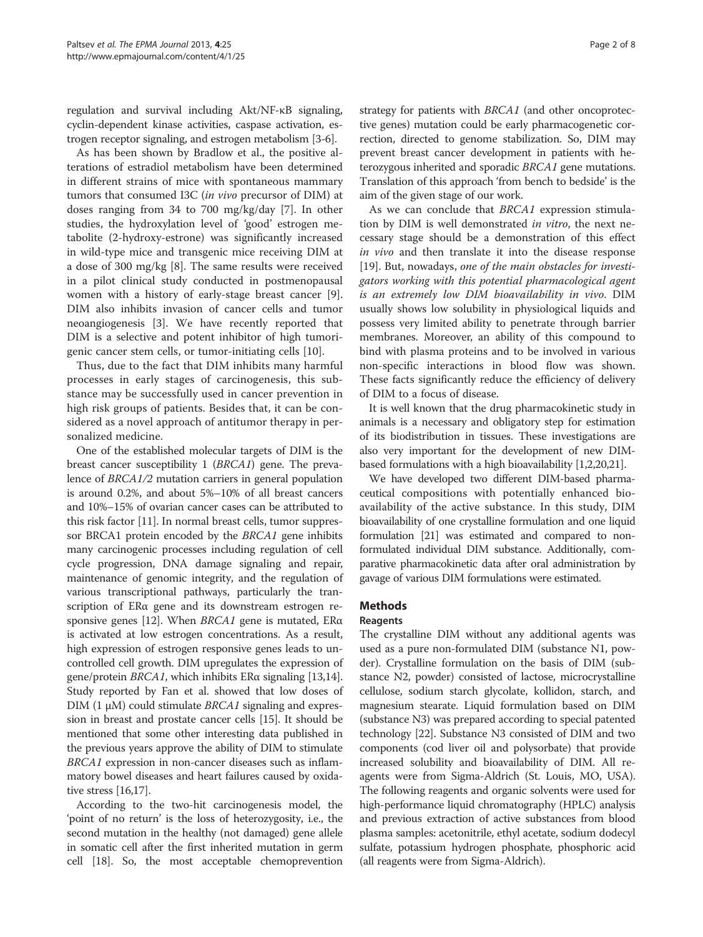regulation and survival including Akt/NF-κB signaling, cyclin-dependent kinase activities, caspase activation, estrogen receptor signaling, and estrogen metabolism [\[3](#page-6-0)-[6](#page-6-0)].

As has been shown by Bradlow et al., the positive alterations of estradiol metabolism have been determined in different strains of mice with spontaneous mammary tumors that consumed I3C (in vivo precursor of DIM) at doses ranging from 34 to 700 mg/kg/day [[7\]](#page-6-0). In other studies, the hydroxylation level of 'good' estrogen metabolite (2-hydroxy-estrone) was significantly increased in wild-type mice and transgenic mice receiving DIM at a dose of 300 mg/kg [[8\]](#page-6-0). The same results were received in a pilot clinical study conducted in postmenopausal women with a history of early-stage breast cancer [\[9](#page-6-0)]. DIM also inhibits invasion of cancer cells and tumor neoangiogenesis [\[3](#page-6-0)]. We have recently reported that DIM is a selective and potent inhibitor of high tumorigenic cancer stem cells, or tumor-initiating cells [[10\]](#page-6-0).

Thus, due to the fact that DIM inhibits many harmful processes in early stages of carcinogenesis, this substance may be successfully used in cancer prevention in high risk groups of patients. Besides that, it can be considered as a novel approach of antitumor therapy in personalized medicine.

One of the established molecular targets of DIM is the breast cancer susceptibility 1 (BRCA1) gene. The prevalence of BRCA1/2 mutation carriers in general population is around 0.2%, and about 5%–10% of all breast cancers and 10%–15% of ovarian cancer cases can be attributed to this risk factor [[11](#page-6-0)]. In normal breast cells, tumor suppressor BRCA1 protein encoded by the BRCA1 gene inhibits many carcinogenic processes including regulation of cell cycle progression, DNA damage signaling and repair, maintenance of genomic integrity, and the regulation of various transcriptional pathways, particularly the transcription of ERα gene and its downstream estrogen re-sponsive genes [\[12\]](#page-6-0). When *BRCA1* gene is mutated,  $ER\alpha$ is activated at low estrogen concentrations. As a result, high expression of estrogen responsive genes leads to uncontrolled cell growth. DIM upregulates the expression of gene/protein BRCA1, which inhibits ERα signaling [\[13,14](#page-6-0)]. Study reported by Fan et al. showed that low doses of DIM (1  $\mu$ M) could stimulate *BRCA1* signaling and expression in breast and prostate cancer cells [[15](#page-6-0)]. It should be mentioned that some other interesting data published in the previous years approve the ability of DIM to stimulate BRCA1 expression in non-cancer diseases such as inflammatory bowel diseases and heart failures caused by oxidative stress [\[16,17\]](#page-6-0).

According to the two-hit carcinogenesis model, the 'point of no return' is the loss of heterozygosity, i.e., the second mutation in the healthy (not damaged) gene allele in somatic cell after the first inherited mutation in germ cell [\[18\]](#page-6-0). So, the most acceptable chemoprevention strategy for patients with BRCA1 (and other oncoprotective genes) mutation could be early pharmacogenetic correction, directed to genome stabilization. So, DIM may prevent breast cancer development in patients with heterozygous inherited and sporadic BRCA1 gene mutations. Translation of this approach 'from bench to bedside' is the aim of the given stage of our work.

As we can conclude that BRCA1 expression stimulation by DIM is well demonstrated in vitro, the next necessary stage should be a demonstration of this effect in vivo and then translate it into the disease response [[19\]](#page-6-0). But, nowadays, one of the main obstacles for investigators working with this potential pharmacological agent is an extremely low DIM bioavailability in vivo. DIM usually shows low solubility in physiological liquids and possess very limited ability to penetrate through barrier membranes. Moreover, an ability of this compound to bind with plasma proteins and to be involved in various non-specific interactions in blood flow was shown. These facts significantly reduce the efficiency of delivery of DIM to a focus of disease.

It is well known that the drug pharmacokinetic study in animals is a necessary and obligatory step for estimation of its biodistribution in tissues. These investigations are also very important for the development of new DIMbased formulations with a high bioavailability [[1,2,20,21\]](#page-6-0).

We have developed two different DIM-based pharmaceutical compositions with potentially enhanced bioavailability of the active substance. In this study, DIM bioavailability of one crystalline formulation and one liquid formulation [[21\]](#page-6-0) was estimated and compared to nonformulated individual DIM substance. Additionally, comparative pharmacokinetic data after oral administration by gavage of various DIM formulations were estimated.

## Methods

## Reagents

The crystalline DIM without any additional agents was used as a pure non-formulated DIM (substance N1, powder). Crystalline formulation on the basis of DIM (substance N2, powder) consisted of lactose, microcrystalline cellulose, sodium starch glycolate, kollidon, starch, and magnesium stearate. Liquid formulation based on DIM (substance N3) was prepared according to special patented technology [[22](#page-6-0)]. Substance N3 consisted of DIM and two components (cod liver oil and polysorbate) that provide increased solubility and bioavailability of DIM. All reagents were from Sigma-Aldrich (St. Louis, MO, USA). The following reagents and organic solvents were used for high-performance liquid chromatography (HPLC) analysis and previous extraction of active substances from blood plasma samples: acetonitrile, ethyl acetate, sodium dodecyl sulfate, potassium hydrogen phosphate, phosphoric acid (all reagents were from Sigma-Aldrich).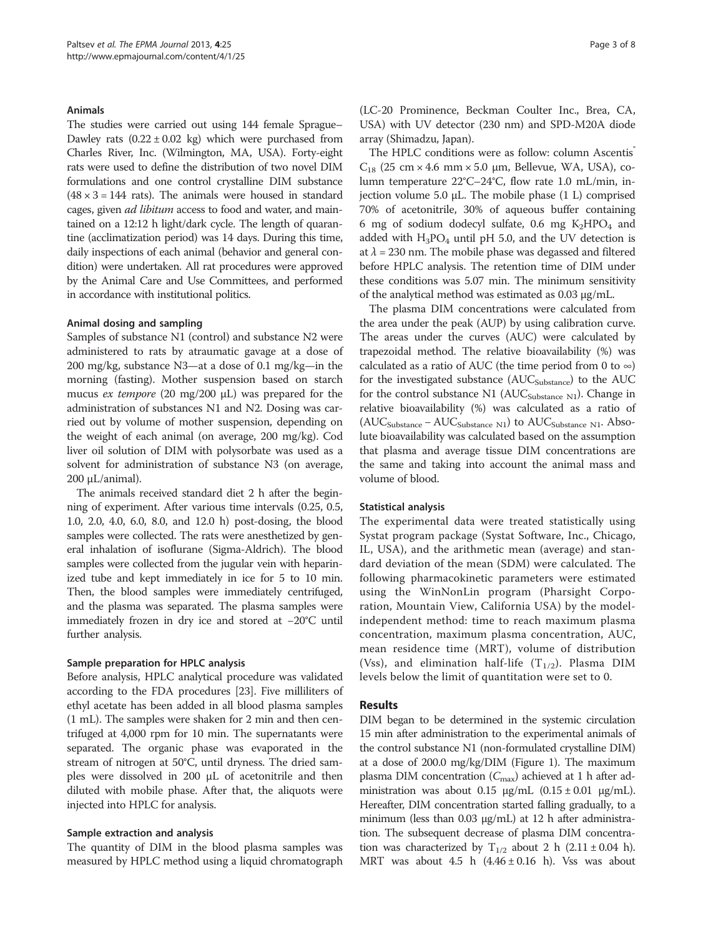### Animals

The studies were carried out using 144 female Sprague– Dawley rats  $(0.22 \pm 0.02 \text{ kg})$  which were purchased from Charles River, Inc. (Wilmington, MA, USA). Forty-eight rats were used to define the distribution of two novel DIM formulations and one control crystalline DIM substance  $(48 \times 3 = 144$  rats). The animals were housed in standard cages, given ad libitum access to food and water, and maintained on a 12:12 h light/dark cycle. The length of quarantine (acclimatization period) was 14 days. During this time, daily inspections of each animal (behavior and general condition) were undertaken. All rat procedures were approved by the Animal Care and Use Committees, and performed in accordance with institutional politics.

#### Animal dosing and sampling

Samples of substance N1 (control) and substance N2 were administered to rats by atraumatic gavage at a dose of 200 mg/kg, substance N3—at a dose of 0.1 mg/kg—in the morning (fasting). Mother suspension based on starch mucus ex tempore (20 mg/200 μL) was prepared for the administration of substances N1 and N2. Dosing was carried out by volume of mother suspension, depending on the weight of each animal (on average, 200 mg/kg). Cod liver oil solution of DIM with polysorbate was used as a solvent for administration of substance N3 (on average, 200 μL/animal).

The animals received standard diet 2 h after the beginning of experiment. After various time intervals (0.25, 0.5, 1.0, 2.0, 4.0, 6.0, 8.0, and 12.0 h) post-dosing, the blood samples were collected. The rats were anesthetized by general inhalation of isoflurane (Sigma-Aldrich). The blood samples were collected from the jugular vein with heparinized tube and kept immediately in ice for 5 to 10 min. Then, the blood samples were immediately centrifuged, and the plasma was separated. The plasma samples were immediately frozen in dry ice and stored at −20°C until further analysis.

#### Sample preparation for HPLC analysis

Before analysis, HPLC analytical procedure was validated according to the FDA procedures [\[23\]](#page-6-0). Five milliliters of ethyl acetate has been added in all blood plasma samples (1 mL). The samples were shaken for 2 min and then centrifuged at 4,000 rpm for 10 min. The supernatants were separated. The organic phase was evaporated in the stream of nitrogen at 50°C, until dryness. The dried samples were dissolved in 200 μL of acetonitrile and then diluted with mobile phase. After that, the aliquots were injected into HPLC for analysis.

#### Sample extraction and analysis

The quantity of DIM in the blood plasma samples was measured by HPLC method using a liquid chromatograph

(LC-20 Prominence, Beckman Coulter Inc., Brea, CA, USA) with UV detector (230 nm) and SPD-M20A diode array (Shimadzu, Japan).

The HPLC conditions were as follow: column Ascentis  $C_{18}$  (25 cm  $\times$  4.6 mm  $\times$  5.0 µm, Bellevue, WA, USA), column temperature 22°C–24°C, flow rate 1.0 mL/min, injection volume 5.0 μL. The mobile phase (1 L) comprised 70% of acetonitrile, 30% of aqueous buffer containing 6 mg of sodium dodecyl sulfate, 0.6 mg  $K_2HPO_4$  and added with  $H_3PO_4$  until pH 5.0, and the UV detection is at  $\lambda$  = 230 nm. The mobile phase was degassed and filtered before HPLC analysis. The retention time of DIM under these conditions was 5.07 min. The minimum sensitivity of the analytical method was estimated as 0.03 μg/mL.

The plasma DIM concentrations were calculated from the area under the peak (AUP) by using calibration curve. The areas under the curves (AUC) were calculated by trapezoidal method. The relative bioavailability (%) was calculated as a ratio of AUC (the time period from 0 to  $\infty$ ) for the investigated substance  $(AUC_{Substance})$  to the  $AUC$ for the control substance N1 ( $AUC<sub>Substance N1</sub>$ ). Change in relative bioavailability (%) was calculated as a ratio of  $(AUC<sub>Substance</sub> - AUC<sub>Substance N1</sub>)$  to  $AUC<sub>Substance N1</sub>$ . Absolute bioavailability was calculated based on the assumption that plasma and average tissue DIM concentrations are the same and taking into account the animal mass and volume of blood.

## Statistical analysis

The experimental data were treated statistically using Systat program package (Systat Software, Inc., Chicago, IL, USA), and the arithmetic mean (average) and standard deviation of the mean (SDM) were calculated. The following pharmacokinetic parameters were estimated using the WinNonLin program (Pharsight Corporation, Mountain View, California USA) by the modelindependent method: time to reach maximum plasma concentration, maximum plasma concentration, AUC, mean residence time (MRT), volume of distribution (Vss), and elimination half-life  $(T_{1/2})$ . Plasma DIM levels below the limit of quantitation were set to 0.

## Results

DIM began to be determined in the systemic circulation 15 min after administration to the experimental animals of the control substance N1 (non-formulated crystalline DIM) at a dose of 200.0 mg/kg/DIM (Figure [1\)](#page-3-0). The maximum plasma DIM concentration  $(C_{\text{max}})$  achieved at 1 h after administration was about 0.15  $\mu$ g/mL (0.15 ± 0.01  $\mu$ g/mL). Hereafter, DIM concentration started falling gradually, to a minimum (less than  $0.03 \mu g/mL$ ) at 12 h after administration. The subsequent decrease of plasma DIM concentration was characterized by  $T_{1/2}$  about 2 h (2.11 ± 0.04 h). MRT was about 4.5 h  $(4.46 \pm 0.16)$  h). Vss was about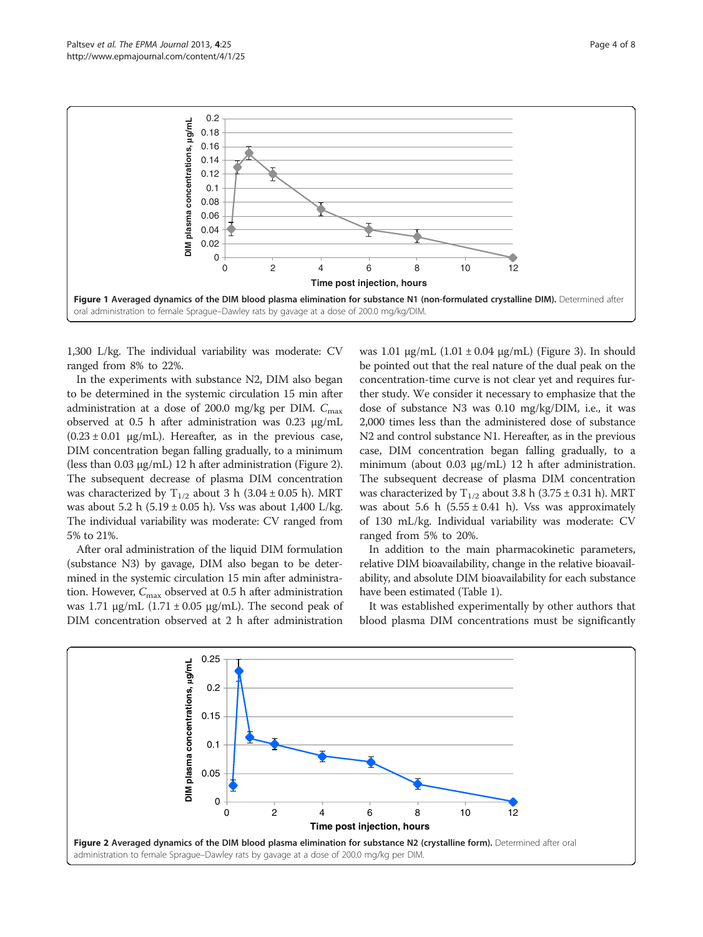<span id="page-3-0"></span>



1,300 L/kg. The individual variability was moderate: CV ranged from 8% to 22%.

In the experiments with substance N2, DIM also began to be determined in the systemic circulation 15 min after administration at a dose of 200.0 mg/kg per DIM.  $C_{\text{max}}$ observed at 0.5 h after administration was 0.23 μg/mL  $(0.23 \pm 0.01 \text{ µg/mL})$ . Hereafter, as in the previous case, DIM concentration began falling gradually, to a minimum (less than 0.03 μg/mL) 12 h after administration (Figure 2). The subsequent decrease of plasma DIM concentration was characterized by  $T_{1/2}$  about 3 h (3.04 ± 0.05 h). MRT was about 5.2 h (5.19  $\pm$  0.05 h). Vss was about 1,400 L/kg. The individual variability was moderate: CV ranged from 5% to 21%.

After oral administration of the liquid DIM formulation (substance N3) by gavage, DIM also began to be determined in the systemic circulation 15 min after administration. However,  $C_{\text{max}}$  observed at 0.5 h after administration was 1.71 μg/mL  $(1.71 \pm 0.05 \text{ µg/mL})$ . The second peak of DIM concentration observed at 2 h after administration

was 1.01 μg/mL  $(1.01 \pm 0.04 \text{ μg/mL})$  (Figure [3](#page-4-0)). In should be pointed out that the real nature of the dual peak on the concentration-time curve is not clear yet and requires further study. We consider it necessary to emphasize that the dose of substance N3 was 0.10 mg/kg/DIM, i.e., it was 2,000 times less than the administered dose of substance N2 and control substance N1. Hereafter, as in the previous case, DIM concentration began falling gradually, to a minimum (about 0.03 μg/mL) 12 h after administration. The subsequent decrease of plasma DIM concentration was characterized by  $T_{1/2}$  about 3.8 h (3.75 ± 0.31 h). MRT was about 5.6 h  $(5.55 \pm 0.41)$ . Vss was approximately of 130 mL/kg. Individual variability was moderate: CV ranged from 5% to 20%.

In addition to the main pharmacokinetic parameters, relative DIM bioavailability, change in the relative bioavailability, and absolute DIM bioavailability for each substance have been estimated (Table [1](#page-4-0)).

It was established experimentally by other authors that blood plasma DIM concentrations must be significantly

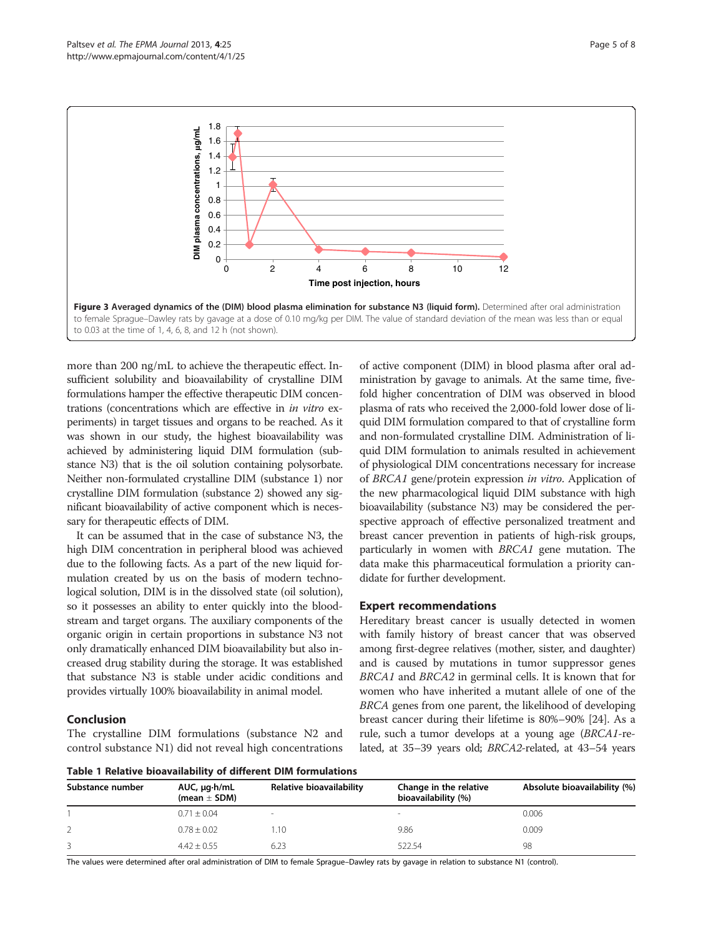<span id="page-4-0"></span>

more than 200 ng/mL to achieve the therapeutic effect. Insufficient solubility and bioavailability of crystalline DIM formulations hamper the effective therapeutic DIM concentrations (concentrations which are effective in in vitro experiments) in target tissues and organs to be reached. As it was shown in our study, the highest bioavailability was achieved by administering liquid DIM formulation (substance N3) that is the oil solution containing polysorbate. Neither non-formulated crystalline DIM (substance 1) nor crystalline DIM formulation (substance 2) showed any significant bioavailability of active component which is necessary for therapeutic effects of DIM.

It can be assumed that in the case of substance N3, the high DIM concentration in peripheral blood was achieved due to the following facts. As a part of the new liquid formulation created by us on the basis of modern technological solution, DIM is in the dissolved state (oil solution), so it possesses an ability to enter quickly into the bloodstream and target organs. The auxiliary components of the organic origin in certain proportions in substance N3 not only dramatically enhanced DIM bioavailability but also increased drug stability during the storage. It was established that substance N3 is stable under acidic conditions and provides virtually 100% bioavailability in animal model.

## Conclusion

The crystalline DIM formulations (substance N2 and control substance N1) did not reveal high concentrations

of active component (DIM) in blood plasma after oral administration by gavage to animals. At the same time, fivefold higher concentration of DIM was observed in blood plasma of rats who received the 2,000-fold lower dose of liquid DIM formulation compared to that of crystalline form and non-formulated crystalline DIM. Administration of liquid DIM formulation to animals resulted in achievement of physiological DIM concentrations necessary for increase of BRCA1 gene/protein expression in vitro. Application of the new pharmacological liquid DIM substance with high bioavailability (substance N3) may be considered the perspective approach of effective personalized treatment and breast cancer prevention in patients of high-risk groups, particularly in women with BRCA1 gene mutation. The data make this pharmaceutical formulation a priority candidate for further development.

## Expert recommendations

Hereditary breast cancer is usually detected in women with family history of breast cancer that was observed among first-degree relatives (mother, sister, and daughter) and is caused by mutations in tumor suppressor genes BRCA1 and BRCA2 in germinal cells. It is known that for women who have inherited a mutant allele of one of the BRCA genes from one parent, the likelihood of developing breast cancer during their lifetime is 80%–90% [[24](#page-6-0)]. As a rule, such a tumor develops at a young age (BRCA1-related, at 35–39 years old; BRCA2-related, at 43–54 years

Table 1 Relative bioavailability of different DIM formulations

| Substance number | AUC, µg·h/mL<br>(mean $\pm$ SDM) | Relative bioavailability | Change in the relative<br>bioavailability (%) | Absolute bioavailability (%) |
|------------------|----------------------------------|--------------------------|-----------------------------------------------|------------------------------|
|                  | $0.71 \pm 0.04$                  |                          | $\,$                                          | 0.006                        |
|                  | $0.78 \pm 0.02$                  | 1.10                     | 9.86                                          | 0.009                        |
|                  | $4.42 + 0.55$                    | 6.23                     | 522.54                                        | 98                           |

The values were determined after oral administration of DIM to female Sprague–Dawley rats by gavage in relation to substance N1 (control).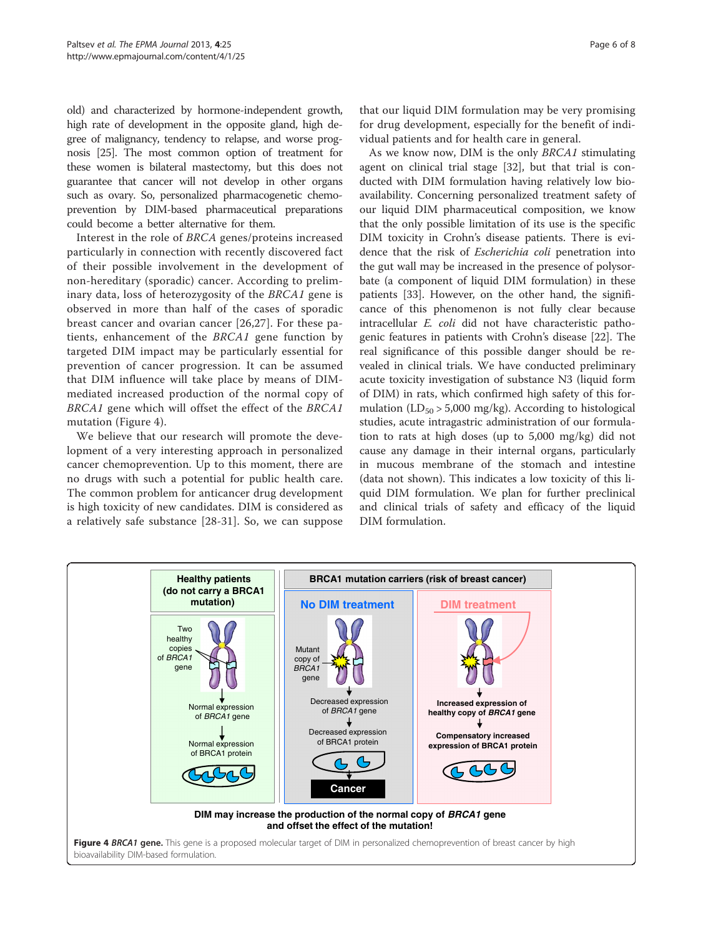old) and characterized by hormone-independent growth, high rate of development in the opposite gland, high degree of malignancy, tendency to relapse, and worse prognosis [\[25](#page-6-0)]. The most common option of treatment for these women is bilateral mastectomy, but this does not guarantee that cancer will not develop in other organs such as ovary. So, personalized pharmacogenetic chemoprevention by DIM-based pharmaceutical preparations could become a better alternative for them.

Interest in the role of BRCA genes/proteins increased particularly in connection with recently discovered fact of their possible involvement in the development of non-hereditary (sporadic) cancer. According to preliminary data, loss of heterozygosity of the BRCA1 gene is observed in more than half of the cases of sporadic breast cancer and ovarian cancer [[26](#page-6-0),[27\]](#page-6-0). For these patients, enhancement of the BRCA1 gene function by targeted DIM impact may be particularly essential for prevention of cancer progression. It can be assumed that DIM influence will take place by means of DIMmediated increased production of the normal copy of BRCA1 gene which will offset the effect of the BRCA1 mutation (Figure 4).

We believe that our research will promote the development of a very interesting approach in personalized cancer chemoprevention. Up to this moment, there are no drugs with such a potential for public health care. The common problem for anticancer drug development is high toxicity of new candidates. DIM is considered as a relatively safe substance [[28-31\]](#page-6-0). So, we can suppose

that our liquid DIM formulation may be very promising for drug development, especially for the benefit of individual patients and for health care in general.

As we know now, DIM is the only BRCA1 stimulating agent on clinical trial stage [\[32](#page-7-0)], but that trial is conducted with DIM formulation having relatively low bioavailability. Concerning personalized treatment safety of our liquid DIM pharmaceutical composition, we know that the only possible limitation of its use is the specific DIM toxicity in Crohn's disease patients. There is evidence that the risk of Escherichia coli penetration into the gut wall may be increased in the presence of polysorbate (a component of liquid DIM formulation) in these patients [[33\]](#page-7-0). However, on the other hand, the significance of this phenomenon is not fully clear because intracellular E. coli did not have characteristic pathogenic features in patients with Crohn's disease [[22\]](#page-6-0). The real significance of this possible danger should be revealed in clinical trials. We have conducted preliminary acute toxicity investigation of substance N3 (liquid form of DIM) in rats, which confirmed high safety of this formulation  $(LD_{50} > 5,000 \text{ mg/kg})$ . According to histological studies, acute intragastric administration of our formulation to rats at high doses (up to 5,000 mg/kg) did not cause any damage in their internal organs, particularly in mucous membrane of the stomach and intestine (data not shown). This indicates a low toxicity of this liquid DIM formulation. We plan for further preclinical and clinical trials of safety and efficacy of the liquid DIM formulation.

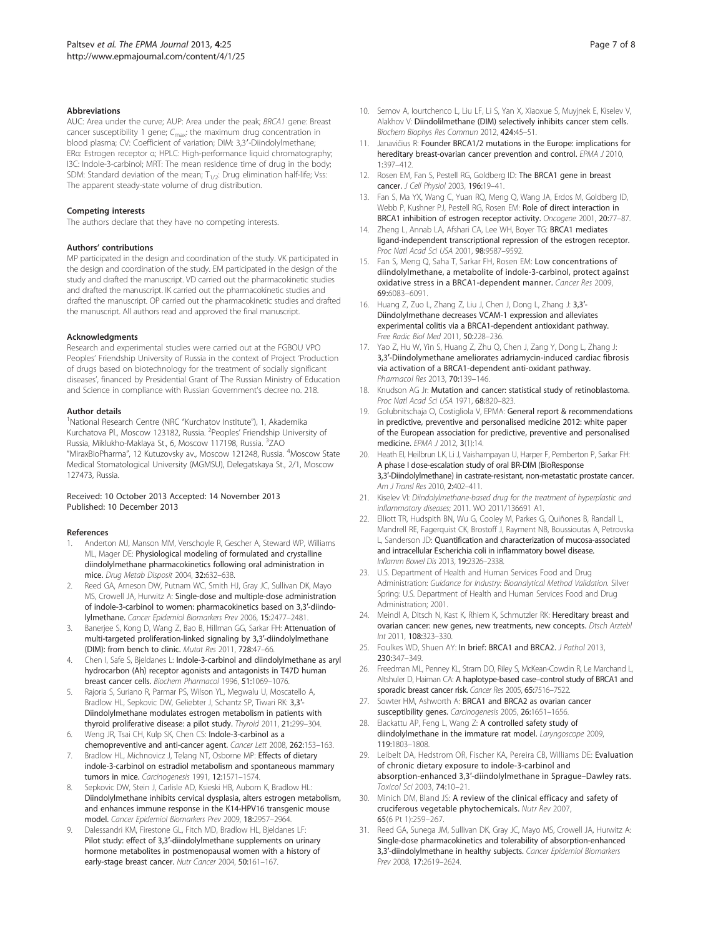#### <span id="page-6-0"></span>**Abbreviations**

AUC: Area under the curve; AUP: Area under the peak; BRCA1 gene: Breast cancer susceptibility 1 gene;  $C_{\text{max}}$ : the maximum drug concentration in blood plasma; CV: Coefficient of variation; DIM: 3,3′-Diindolylmethane; ERα: Estrogen receptor α; HPLC: High-performance liquid chromatography; I3C: Indole-3-carbinol; MRT: The mean residence time of drug in the body; SDM: Standard deviation of the mean;  $T_{1/2}$ : Drug elimination half-life; Vss: The apparent steady-state volume of drug distribution.

#### Competing interests

The authors declare that they have no competing interests.

#### Authors' contributions

MP participated in the design and coordination of the study. VK participated in the design and coordination of the study. EM participated in the design of the study and drafted the manuscript. VD carried out the pharmacokinetic studies and drafted the manuscript. IK carried out the pharmacokinetic studies and drafted the manuscript. OP carried out the pharmacokinetic studies and drafted the manuscript. All authors read and approved the final manuscript.

#### Acknowledgments

Research and experimental studies were carried out at the FGBOU VPO Peoples' Friendship University of Russia in the context of Project 'Production of drugs based on biotechnology for the treatment of socially significant diseases', financed by Presidential Grant of The Russian Ministry of Education and Science in compliance with Russian Government's decree no. 218.

#### Author details

<sup>1</sup>National Research Centre (NRC "Kurchatov Institute"), 1, Akademika Kurchatova Pl., Moscow 123182, Russia. <sup>2</sup>Peoples' Friendship University of Russia, Miklukho-Maklaya St., 6, Moscow 117198, Russia. <sup>3</sup>ZAO "MiraxBioPharma", 12 Kutuzovsky av., Moscow 121248, Russia. <sup>4</sup>Moscow State Medical Stomatological University (MGMSU), Delegatskaya St., 2/1, Moscow 127473, Russia.

#### Received: 10 October 2013 Accepted: 14 November 2013 Published: 10 December 2013

#### References

- 1. Anderton MJ, Manson MM, Verschoyle R, Gescher A, Steward WP, Williams ML, Mager DE: Physiological modeling of formulated and crystalline diindolylmethane pharmacokinetics following oral administration in mice. Drug Metab Disposit 2004, 32:632–638.
- 2. Reed GA, Arneson DW, Putnam WC, Smith HJ, Gray JC, Sullivan DK, Mayo MS, Crowell JA, Hurwitz A: Single-dose and multiple-dose administration of indole-3-carbinol to women: pharmacokinetics based on 3,3′-diindolylmethane. Cancer Epidemiol Biomarkers Prev 2006, 15:2477–2481.
- 3. Banerjee S, Kong D, Wang Z, Bao B, Hillman GG, Sarkar FH: Attenuation of multi-targeted proliferation-linked signaling by 3,3′-diindolylmethane (DIM): from bench to clinic. Mutat Res 2011, 728:47–66.
- Chen I, Safe S, Bjeldanes L: Indole-3-carbinol and diindolylmethane as aryl hydrocarbon (Ah) receptor agonists and antagonists in T47D human breast cancer cells. Biochem Pharmacol 1996, 51:1069–1076.
- Rajoria S, Suriano R, Parmar PS, Wilson YL, Megwalu U, Moscatello A, Bradlow HL, Sepkovic DW, Geliebter J, Schantz SP, Tiwari RK: 3,3′- Diindolylmethane modulates estrogen metabolism in patients with thyroid proliferative disease: a pilot study. Thyroid 2011, 21:299–304.
- 6. Weng JR, Tsai CH, Kulp SK, Chen CS: Indole-3-carbinol as a chemopreventive and anti-cancer agent. Cancer Lett 2008, 262:153–163.
- 7. Bradlow HL, Michnovicz J, Telang NT, Osborne MP: Effects of dietary indole-3-carbinol on estradiol metabolism and spontaneous mammary tumors in mice. Carcinogenesis 1991, 12:1571–1574.
- 8. Sepkovic DW, Stein J, Carlisle AD, Ksieski HB, Auborn K, Bradlow HL: Diindolylmethane inhibits cervical dysplasia, alters estrogen metabolism, and enhances immune response in the K14-HPV16 transgenic mouse model. Cancer Epidemiol Biomarkers Prev 2009, 18:2957–2964.
- Dalessandri KM, Firestone GL, Fitch MD, Bradlow HL, Bjeldanes LF: Pilot study: effect of 3,3′-diindolylmethane supplements on urinary hormone metabolites in postmenopausal women with a history of early-stage breast cancer. Nutr Cancer 2004, 50:161–167.
- 10. Semov A, Iourtchenco L, Liu LF, Li S, Yan X, Xiaoxue S, Muyjnek E, Kiselev V, Alakhov V: Diindolilmethane (DIM) selectively inhibits cancer stem cells. Biochem Biophys Res Commun 2012, 424:45–51.
- 11. Janavičius R: Founder BRCA1/2 mutations in the Europe: implications for hereditary breast-ovarian cancer prevention and control. EPMA J 2010, 1:397–412.
- 12. Rosen EM, Fan S, Pestell RG, Goldberg ID: The BRCA1 gene in breast cancer. J Cell Physiol 2003, 196:19-41.
- 13. Fan S, Ma YX, Wang C, Yuan RQ, Meng Q, Wang JA, Erdos M, Goldberg ID, Webb P, Kushner PJ, Pestell RG, Rosen EM: Role of direct interaction in BRCA1 inhibition of estrogen receptor activity. Oncogene 2001, 20:77–87.
- 14. Zheng L, Annab LA, Afshari CA, Lee WH, Boyer TG: BRCA1 mediates ligand-independent transcriptional repression of the estrogen receptor. Proc Natl Acad Sci USA 2001, 98:9587–9592.
- 15. Fan S, Meng Q, Saha T, Sarkar FH, Rosen EM: Low concentrations of diindolylmethane, a metabolite of indole-3-carbinol, protect against oxidative stress in a BRCA1-dependent manner. Cancer Res 2009, 69:6083–6091.
- 16. Huang Z, Zuo L, Zhang Z, Liu J, Chen J, Dong L, Zhang J: 3,3'-Diindolylmethane decreases VCAM-1 expression and alleviates experimental colitis via a BRCA1-dependent antioxidant pathway. Free Radic Biol Med 2011, 50:228-236.
- 17. Yao Z, Hu W, Yin S, Huang Z, Zhu Q, Chen J, Zang Y, Dong L, Zhang J: 3,3′-Diindolymethane ameliorates adriamycin-induced cardiac fibrosis via activation of a BRCA1-dependent anti-oxidant pathway. Pharmacol Res 2013, 70:139–146.
- 18. Knudson AG Jr: Mutation and cancer: statistical study of retinoblastoma. Proc Natl Acad Sci USA 1971, 68:820–823.
- 19. Golubnitschaja O, Costigliola V, EPMA: General report & recommendations in predictive, preventive and personalised medicine 2012: white paper of the European association for predictive, preventive and personalised medicine. EPMA J 2012, 3(1):14.
- 20. Heath EI, Heilbrun LK, Li J, Vaishampayan U, Harper F, Pemberton P, Sarkar FH: A phase I dose-escalation study of oral BR-DIM (BioResponse 3,3′-Diindolylmethane) in castrate-resistant, non-metastatic prostate cancer. Am J Transl Res 2010, 2:402-411.
- 21. Kiselev VI: Diindolylmethane-based drug for the treatment of hyperplastic and inflammatory diseases; 2011. WO 2011/136691 A1.
- 22. Elliott TR, Hudspith BN, Wu G, Cooley M, Parkes G, Quiñones B, Randall L, Mandrell RE, Fagerquist CK, Brostoff J, Rayment NB, Boussioutas A, Petrovska L, Sanderson JD: Quantification and characterization of mucosa-associated and intracellular Escherichia coli in inflammatory bowel disease. Inflamm Bowel Dis 2013, 19:2326–2338.
- 23. U.S. Department of Health and Human Services Food and Drug Administration: Guidance for Industry: Bioanalytical Method Validation. Silver Spring: U.S. Department of Health and Human Services Food and Drug Administration; 2001.
- 24. Meindl A, Ditsch N, Kast K, Rhiem K, Schmutzler RK: Hereditary breast and ovarian cancer: new genes, new treatments, new concepts. Dtsch Arztebl Int 2011, 108:323–330.
- 25. Foulkes WD, Shuen AY: In brief: BRCA1 and BRCA2. J Pathol 2013, 230:347–349.
- 26. Freedman ML, Penney KL, Stram DO, Riley S, McKean-Cowdin R, Le Marchand L, Altshuler D, Haiman CA: A haplotype-based case–control study of BRCA1 and sporadic breast cancer risk. Cancer Res 2005, 65:7516–7522.
- 27. Sowter HM, Ashworth A: BRCA1 and BRCA2 as ovarian cancer susceptibility genes. Carcinogenesis 2005, 26:1651-1656.
- 28. Elackattu AP, Feng L, Wang Z: A controlled safety study of diindolylmethane in the immature rat model. Laryngoscope 2009, 119:1803–1808.
- 29. Leibelt DA, Hedstrom OR, Fischer KA, Pereira CB, Williams DE: Evaluation of chronic dietary exposure to indole-3-carbinol and absorption-enhanced 3,3′-diindolylmethane in Sprague–Dawley rats. Toxicol Sci 2003, 74:10–21.
- 30. Minich DM, Bland JS: A review of the clinical efficacy and safety of cruciferous vegetable phytochemicals. Nutr Rev 2007, 65(6 Pt 1):259–267.
- 31. Reed GA, Sunega JM, Sullivan DK, Gray JC, Mayo MS, Crowell JA, Hurwitz A: Single-dose pharmacokinetics and tolerability of absorption-enhanced 3,3′-diindolylmethane in healthy subjects. Cancer Epidemiol Biomarkers Prev 2008, 17:2619–2624.